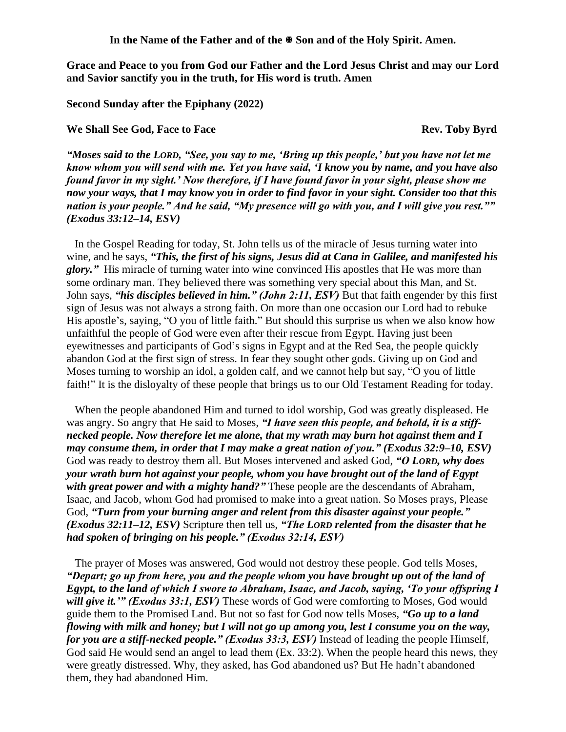In the Name of the Father and of the  $\mathbb{F}$  Son and of the Holy Spirit. Amen.

**Grace and Peace to you from God our Father and the Lord Jesus Christ and may our Lord and Savior sanctify you in the truth, for His word is truth. Amen**

**Second Sunday after the Epiphany (2022)**

**We Shall See God, Face to Face Rev. Toby Byrd** 

*"Moses said to the LORD, "See, you say to me, 'Bring up this people,' but you have not let me know whom you will send with me. Yet you have said, 'I know you by name, and you have also found favor in my sight.' Now therefore, if I have found favor in your sight, please show me now your ways, that I may know you in order to find favor in your sight. Consider too that this nation is your people." And he said, "My presence will go with you, and I will give you rest."" (Exodus 33:12–14, ESV)* 

In the Gospel Reading for today, St. John tells us of the miracle of Jesus turning water into wine, and he says, *"This, the first of his signs, Jesus did at Cana in Galilee, and manifested his glory."* His miracle of turning water into wine convinced His apostles that He was more than some ordinary man. They believed there was something very special about this Man, and St. John says, *"his disciples believed in him." (John 2:11, ESV)* But that faith engender by this first sign of Jesus was not always a strong faith. On more than one occasion our Lord had to rebuke His apostle's, saying, "O you of little faith." But should this surprise us when we also know how unfaithful the people of God were even after their rescue from Egypt. Having just been eyewitnesses and participants of God's signs in Egypt and at the Red Sea, the people quickly abandon God at the first sign of stress. In fear they sought other gods. Giving up on God and Moses turning to worship an idol, a golden calf, and we cannot help but say, "O you of little faith!" It is the disloyalty of these people that brings us to our Old Testament Reading for today.

When the people abandoned Him and turned to idol worship, God was greatly displeased. He was angry. So angry that He said to Moses, *"I have seen this people, and behold, it is a stiffnecked people. Now therefore let me alone, that my wrath may burn hot against them and I may consume them, in order that I may make a great nation of you." (Exodus 32:9–10, ESV)* God was ready to destroy them all. But Moses intervened and asked God, *"O LORD, why does your wrath burn hot against your people, whom you have brought out of the land of Egypt with great power and with a mighty hand?"* These people are the descendants of Abraham, Isaac, and Jacob, whom God had promised to make into a great nation. So Moses prays, Please God, *"Turn from your burning anger and relent from this disaster against your people." (Exodus 32:11–12, ESV)* Scripture then tell us, *"The LORD relented from the disaster that he had spoken of bringing on his people." (Exodus 32:14, ESV)*

The prayer of Moses was answered, God would not destroy these people. God tells Moses, *"Depart; go up from here, you and the people whom you have brought up out of the land of Egypt, to the land of which I swore to Abraham, Isaac, and Jacob, saying, 'To your offspring I will give it.'" (Exodus 33:1, ESV)* These words of God were comforting to Moses, God would guide them to the Promised Land. But not so fast for God now tells Moses, *"Go up to a land flowing with milk and honey; but I will not go up among you, lest I consume you on the way, for you are a stiff-necked people." (Exodus 33:3, ESV)* Instead of leading the people Himself, God said He would send an angel to lead them (Ex. 33:2). When the people heard this news, they were greatly distressed. Why, they asked, has God abandoned us? But He hadn't abandoned them, they had abandoned Him.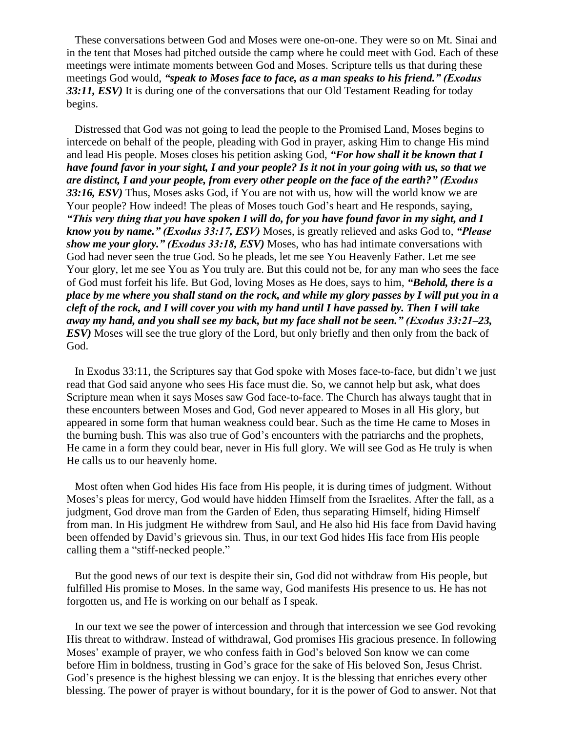These conversations between God and Moses were one-on-one. They were so on Mt. Sinai and in the tent that Moses had pitched outside the camp where he could meet with God. Each of these meetings were intimate moments between God and Moses. Scripture tells us that during these meetings God would, *"speak to Moses face to face, as a man speaks to his friend." (Exodus 33:11, ESV)* It is during one of the conversations that our Old Testament Reading for today begins.

Distressed that God was not going to lead the people to the Promised Land, Moses begins to intercede on behalf of the people, pleading with God in prayer, asking Him to change His mind and lead His people. Moses closes his petition asking God, *"For how shall it be known that I have found favor in your sight, I and your people? Is it not in your going with us, so that we are distinct, I and your people, from every other people on the face of the earth?" (Exodus 33:16, ESV)* Thus, Moses asks God, if You are not with us, how will the world know we are Your people? How indeed! The pleas of Moses touch God's heart and He responds, saying, *"This very thing that you have spoken I will do, for you have found favor in my sight, and I know you by name." (Exodus 33:17, ESV)* Moses, is greatly relieved and asks God to, *"Please show me your glory." (Exodus 33:18, ESV)* Moses, who has had intimate conversations with God had never seen the true God. So he pleads, let me see You Heavenly Father. Let me see Your glory, let me see You as You truly are. But this could not be, for any man who sees the face of God must forfeit his life. But God, loving Moses as He does, says to him, *"Behold, there is a place by me where you shall stand on the rock, and while my glory passes by I will put you in a cleft of the rock, and I will cover you with my hand until I have passed by. Then I will take away my hand, and you shall see my back, but my face shall not be seen." (Exodus 33:21–23, ESV)* Moses will see the true glory of the Lord, but only briefly and then only from the back of God.

In Exodus 33:11, the Scriptures say that God spoke with Moses face-to-face, but didn't we just read that God said anyone who sees His face must die. So, we cannot help but ask, what does Scripture mean when it says Moses saw God face-to-face. The Church has always taught that in these encounters between Moses and God, God never appeared to Moses in all His glory, but appeared in some form that human weakness could bear. Such as the time He came to Moses in the burning bush. This was also true of God's encounters with the patriarchs and the prophets, He came in a form they could bear, never in His full glory. We will see God as He truly is when He calls us to our heavenly home.

Most often when God hides His face from His people, it is during times of judgment. Without Moses's pleas for mercy, God would have hidden Himself from the Israelites. After the fall, as a judgment, God drove man from the Garden of Eden, thus separating Himself, hiding Himself from man. In His judgment He withdrew from Saul, and He also hid His face from David having been offended by David's grievous sin. Thus, in our text God hides His face from His people calling them a "stiff-necked people."

But the good news of our text is despite their sin, God did not withdraw from His people, but fulfilled His promise to Moses. In the same way, God manifests His presence to us. He has not forgotten us, and He is working on our behalf as I speak.

In our text we see the power of intercession and through that intercession we see God revoking His threat to withdraw. Instead of withdrawal, God promises His gracious presence. In following Moses' example of prayer, we who confess faith in God's beloved Son know we can come before Him in boldness, trusting in God's grace for the sake of His beloved Son, Jesus Christ. God's presence is the highest blessing we can enjoy. It is the blessing that enriches every other blessing. The power of prayer is without boundary, for it is the power of God to answer. Not that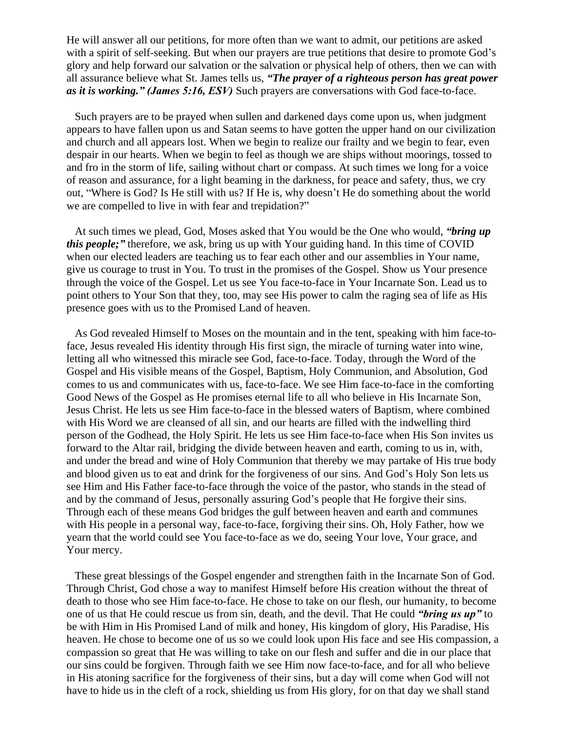He will answer all our petitions, for more often than we want to admit, our petitions are asked with a spirit of self-seeking. But when our prayers are true petitions that desire to promote God's glory and help forward our salvation or the salvation or physical help of others, then we can with all assurance believe what St. James tells us, *"The prayer of a righteous person has great power as it is working." (James 5:16, ESV)* Such prayers are conversations with God face-to-face.

Such prayers are to be prayed when sullen and darkened days come upon us, when judgment appears to have fallen upon us and Satan seems to have gotten the upper hand on our civilization and church and all appears lost. When we begin to realize our frailty and we begin to fear, even despair in our hearts. When we begin to feel as though we are ships without moorings, tossed to and fro in the storm of life, sailing without chart or compass. At such times we long for a voice of reason and assurance, for a light beaming in the darkness, for peace and safety, thus, we cry out, "Where is God? Is He still with us? If He is, why doesn't He do something about the world we are compelled to live in with fear and trepidation?"

At such times we plead, God, Moses asked that You would be the One who would, *"bring up this people;*" therefore, we ask, bring us up with Your guiding hand. In this time of COVID when our elected leaders are teaching us to fear each other and our assemblies in Your name, give us courage to trust in You. To trust in the promises of the Gospel. Show us Your presence through the voice of the Gospel. Let us see You face-to-face in Your Incarnate Son. Lead us to point others to Your Son that they, too, may see His power to calm the raging sea of life as His presence goes with us to the Promised Land of heaven.

As God revealed Himself to Moses on the mountain and in the tent, speaking with him face-toface, Jesus revealed His identity through His first sign, the miracle of turning water into wine, letting all who witnessed this miracle see God, face-to-face. Today, through the Word of the Gospel and His visible means of the Gospel, Baptism, Holy Communion, and Absolution, God comes to us and communicates with us, face-to-face. We see Him face-to-face in the comforting Good News of the Gospel as He promises eternal life to all who believe in His Incarnate Son, Jesus Christ. He lets us see Him face-to-face in the blessed waters of Baptism, where combined with His Word we are cleansed of all sin, and our hearts are filled with the indwelling third person of the Godhead, the Holy Spirit. He lets us see Him face-to-face when His Son invites us forward to the Altar rail, bridging the divide between heaven and earth, coming to us in, with, and under the bread and wine of Holy Communion that thereby we may partake of His true body and blood given us to eat and drink for the forgiveness of our sins. And God's Holy Son lets us see Him and His Father face-to-face through the voice of the pastor, who stands in the stead of and by the command of Jesus, personally assuring God's people that He forgive their sins. Through each of these means God bridges the gulf between heaven and earth and communes with His people in a personal way, face-to-face, forgiving their sins. Oh, Holy Father, how we yearn that the world could see You face-to-face as we do, seeing Your love, Your grace, and Your mercy.

These great blessings of the Gospel engender and strengthen faith in the Incarnate Son of God. Through Christ, God chose a way to manifest Himself before His creation without the threat of death to those who see Him face-to-face. He chose to take on our flesh, our humanity, to become one of us that He could rescue us from sin, death, and the devil. That He could *"bring us up"* to be with Him in His Promised Land of milk and honey, His kingdom of glory, His Paradise, His heaven. He chose to become one of us so we could look upon His face and see His compassion, a compassion so great that He was willing to take on our flesh and suffer and die in our place that our sins could be forgiven. Through faith we see Him now face-to-face, and for all who believe in His atoning sacrifice for the forgiveness of their sins, but a day will come when God will not have to hide us in the cleft of a rock, shielding us from His glory, for on that day we shall stand